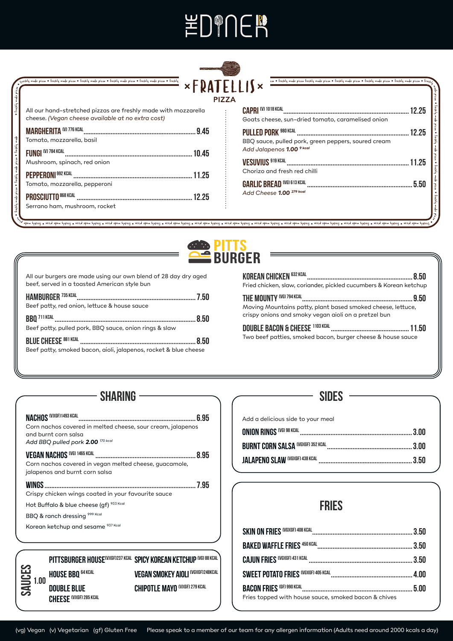# **\DPNER**



| • Freshly me                                         | All our hand-stretched pizzas are freshly made with mozzarella<br>cheese. (Vegan cheese available at no extra cost)  |
|------------------------------------------------------|----------------------------------------------------------------------------------------------------------------------|
|                                                      | <b>MARGHERITA (V) 776 KCAL</b><br>9.45<br>Tomato, mozzarella, basil                                                  |
|                                                      | FUNGI <sup>(V)</sup> 784 KCAL<br>. 10.45<br>Mushroom, spinach, red onion                                             |
|                                                      | <b>PEPPERONI</b> 992 KCAL<br>11.25<br>Tomato, mozzarella, pepperoni                                                  |
| reshly made pizza • Feshly made pizza • Freshly made | <b>PROSCIUTTO 868 KCAL</b><br>12.25<br><br>Serrano ham, mushroom, rocket                                             |
|                                                      | .<br>Waxaa badan waa kale fuutu waa kale fuutuu waa kale fuutuu waa kale fuutuu waa kale kale kale fuutuu waa kale f |

| - 12                                                                                                            |       |
|-----------------------------------------------------------------------------------------------------------------|-------|
| <b>CAPRI (V) 1018 KCAL</b>                                                                                      | 12.25 |
| Goats cheese, sun-dried tomato, caramelised onion                                                               |       |
| <b>PULLED PORK 980 KCAL</b><br>BBQ sauce, pulled pork, green peppers, soured cream<br>Add Jalapenos 1.00 9 kcal | 12.25 |
| <b>VESUVIUS 919 KCAL</b><br>Chorizo and fresh red chilli                                                        | 11.25 |
| <b>GARLIC BREAD (VG) 613 KCAL</b><br>Add Cheese 1.00 <sup>279 kcal</sup>                                        | 5.50  |

pzi za •



shim pldast a aziq shim pldast a aziq shim plast a hang shim shast a aziq shim pldast a aziq shim plast a hang shim plast a aziq shim plast a aziq shim plast a aziq shim plast a aziq shim plast a aziq shim plast a aziq shi

All our burgers are made using our own blend of 28 day dry aged beef, served in a toasted American style bun

| <b>HAMBURGER 735 KCAL</b>                                        |  |
|------------------------------------------------------------------|--|
| Beef patty, red onion, lettuce & house sauce                     |  |
|                                                                  |  |
| Beef patty, pulled pork, BBQ sauce, onion rings & slaw           |  |
| <b>BLUE CHEESE 881 KCAL</b>                                      |  |
| Beef patty, smoked bacon, aioli, jalapenos, rocket & blue cheese |  |

| <b>KOREAN CHICKEN 632 KCAL</b><br>8.50<br>Fried chicken, slaw, coriander, pickled cucumbers & Korean ketchup                                           |
|--------------------------------------------------------------------------------------------------------------------------------------------------------|
| THE MOUNTY (VG) 794 KCAL<br>950<br>Moving Mountains patty, plant based smoked cheese, lettuce,<br>crispy onions and smoky vegan aioli on a pretzel bun |
| Two beef patties, smoked bacon, burger cheese & house sauce                                                                                            |

#### SHARING -

| Corn nachos covered in melted cheese, sour cream, jalapenos<br>and burnt corn salsa<br>Add BBQ pulled pork 2.00 <sup>170 kcal</sup> |  |
|-------------------------------------------------------------------------------------------------------------------------------------|--|
| Corn nachos covered in vegan melted cheese, guacamole,<br>jalapenos and burnt corn salsa                                            |  |
| Crispy chicken wings coated in your favourite sauce                                                                                 |  |
| Hot Buffalo & blue cheese (gf) 933 Kcal                                                                                             |  |
| BBQ & ranch dressing 999 Kcal                                                                                                       |  |
| Korean ketchup and sesame 937 Kcal                                                                                                  |  |
|                                                                                                                                     |  |
| PITTSBURGER HOUSE <sup>(V)(GF)237 KCAL</sup> SPICY KOREAN KETCHUP (VG) 88 KCAL                                                      |  |
| <b>VEGAN SMOKEY AIOLI (VG)(GF)248KCAL</b><br><b>HOUSE BBO 64 KCAL</b>                                                               |  |
| 1.00<br>. <i>.</i> . 00000 070 VOAL                                                                                                 |  |

**Double Blue CHEESE** (V)(GF) 285 KCAL

**Sauces**

| your meal |  |  |
|-----------|--|--|
|           |  |  |

**Sides**

Add a delicious side to

#### **Fries**

| Fries topped with house sauce, smoked bacon & chives |  |
|------------------------------------------------------|--|

(vg) Vegan (v) Vegetarian (gf) Gluten Free Please speak to a member of our team for any allergen information (Adults need around 2000 kcals a day)

**CHIPOTLE MAYO (V)(GF) 279 KCAL**